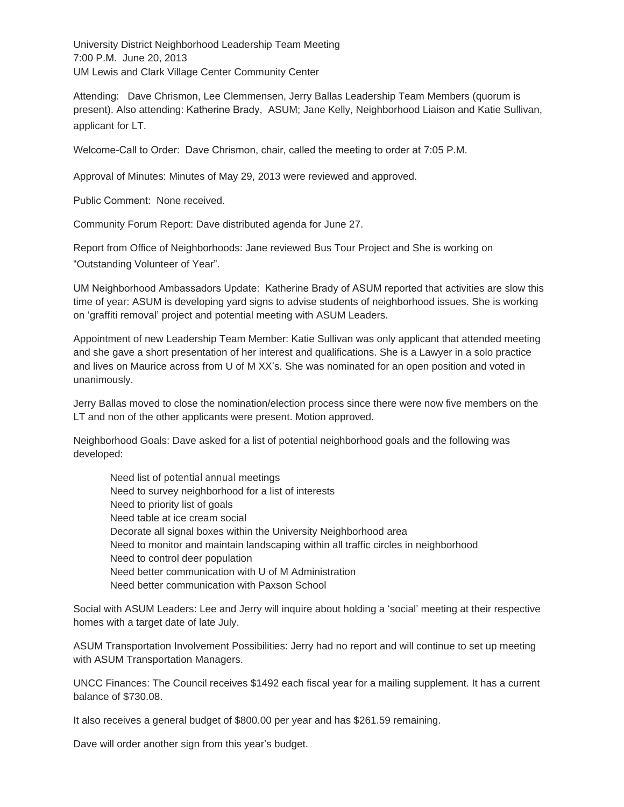University District Neighborhood Leadership Team Meeting 7:00 P.M. June 20, 2013 UM Lewis and Clark Village Center Community Center

Attending: Dave Chrismon, Lee Clemmensen, Jerry Ballas Leadership Team Members (quorum is present). Also attending: Katherine Brady, ASUM; Jane Kelly, Neighborhood Liaison and Katie Sullivan, applicant for LT.

Welcome-Call to Order: Dave Chrismon, chair, called the meeting to order at 7:05 P.M.

Approval of Minutes: Minutes of May 29, 2013 were reviewed and approved.

Public Comment: None received.

Community Forum Report: Dave distributed agenda for June 27.

Report from Office of Neighborhoods: Jane reviewed Bus Tour Project and She is working on "Outstanding Volunteer of Year".

UM Neighborhood Ambassadors Update: Katherine Brady of ASUM reported that activities are slow this time of year: ASUM is developing yard signs to advise students of neighborhood issues. She is working on 'graffiti removal' project and potential meeting with ASUM Leaders.

Appointment of new Leadership Team Member: Katie Sullivan was only applicant that attended meeting and she gave a short presentation of her interest and qualifications. She is a Lawyer in a solo practice and lives on Maurice across from U of M XX's. She was nominated for an open position and voted in unanimously.

Jerry Ballas moved to close the nomination/election process since there were now five members on the LT and non of the other applicants were present. Motion approved.

Neighborhood Goals: Dave asked for a list of potential neighborhood goals and the following was developed:

Need list of potential annual meetings Need to survey neighborhood for a list of interests Need to priority list of goals Need table at ice cream social Decorate all signal boxes within the University Neighborhood area Need to monitor and maintain landscaping within all traffic circles in neighborhood Need to control deer population Need better communication with U of M Administration Need better communication with Paxson School

Social with ASUM Leaders: Lee and Jerry will inquire about holding a 'social' meeting at their respective homes with a target date of late July.

ASUM Transportation Involvement Possibilities: Jerry had no report and will continue to set up meeting with ASUM Transportation Managers.

UNCC Finances: The Council receives \$1492 each fiscal year for a mailing supplement. It has a current balance of \$730.08.

It also receives a general budget of \$800.00 per year and has \$261.59 remaining.

Dave will order another sign from this year's budget.